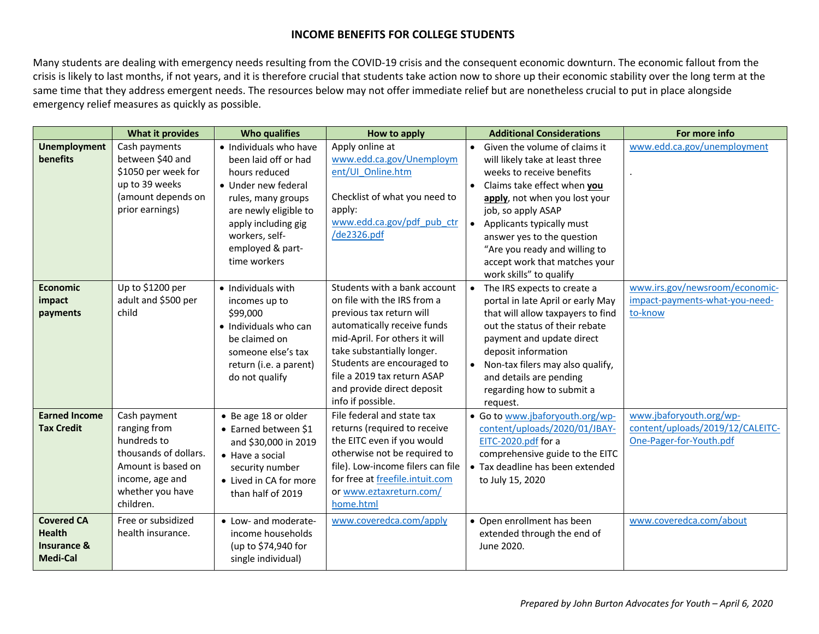## **INCOME BENEFITS FOR COLLEGE STUDENTS**

Many students are dealing with emergency needs resulting from the COVID-19 crisis and the consequent economic downturn. The economic fallout from the crisis is likely to last months, if not years, and it is therefore crucial that students take action now to shore up their economic stability over the long term at the same time that they address emergent needs. The resources below may not offer immediate relief but are nonetheless crucial to put in place alongside emergency relief measures as quickly as possible.

|                                                                                 | <b>What it provides</b>                                                                                                                        | <b>Who qualifies</b>                                                                                                                                                                                               | How to apply                                                                                                                                                                                                                                                                                          | <b>Additional Considerations</b><br>For more info                                                                                                                                                                                                                                                                                                                                                            |
|---------------------------------------------------------------------------------|------------------------------------------------------------------------------------------------------------------------------------------------|--------------------------------------------------------------------------------------------------------------------------------------------------------------------------------------------------------------------|-------------------------------------------------------------------------------------------------------------------------------------------------------------------------------------------------------------------------------------------------------------------------------------------------------|--------------------------------------------------------------------------------------------------------------------------------------------------------------------------------------------------------------------------------------------------------------------------------------------------------------------------------------------------------------------------------------------------------------|
| <b>Unemployment</b><br><b>benefits</b>                                          | Cash payments<br>between \$40 and<br>\$1050 per week for<br>up to 39 weeks<br>(amount depends on<br>prior earnings)                            | · Individuals who have<br>been laid off or had<br>hours reduced<br>• Under new federal<br>rules, many groups<br>are newly eligible to<br>apply including gig<br>workers, self-<br>employed & part-<br>time workers | Apply online at<br>www.edd.ca.gov/Unemploym<br>ent/UI Online.htm<br>Checklist of what you need to<br>apply:<br>www.edd.ca.gov/pdf pub ctr<br>/de2326.pdf                                                                                                                                              | www.edd.ca.gov/unemployment<br>Given the volume of claims it<br>$\bullet$<br>will likely take at least three<br>weeks to receive benefits<br>Claims take effect when you<br>apply, not when you lost your<br>job, so apply ASAP<br>Applicants typically must<br>answer yes to the question<br>"Are you ready and willing to<br>accept work that matches your<br>work skills" to qualify                      |
| <b>Economic</b><br>impact<br>payments                                           | Up to \$1200 per<br>adult and \$500 per<br>child                                                                                               | • Individuals with<br>incomes up to<br>\$99,000<br>• Individuals who can<br>be claimed on<br>someone else's tax<br>return (i.e. a parent)<br>do not qualify                                                        | Students with a bank account<br>on file with the IRS from a<br>previous tax return will<br>automatically receive funds<br>mid-April. For others it will<br>take substantially longer.<br>Students are encouraged to<br>file a 2019 tax return ASAP<br>and provide direct deposit<br>info if possible. | www.irs.gov/newsroom/economic-<br>The IRS expects to create a<br>$\bullet$<br>impact-payments-what-you-need-<br>portal in late April or early May<br>that will allow taxpayers to find<br>to-know<br>out the status of their rebate<br>payment and update direct<br>deposit information<br>Non-tax filers may also qualify,<br>$\bullet$<br>and details are pending<br>regarding how to submit a<br>request. |
| <b>Earned Income</b><br><b>Tax Credit</b>                                       | Cash payment<br>ranging from<br>hundreds to<br>thousands of dollars.<br>Amount is based on<br>income, age and<br>whether you have<br>children. | • Be age 18 or older<br>• Earned between \$1<br>and \$30,000 in 2019<br>$\bullet$ Have a social<br>security number<br>• Lived in CA for more<br>than half of 2019                                                  | File federal and state tax<br>returns (required to receive<br>the EITC even if you would<br>otherwise not be required to<br>file). Low-income filers can file<br>for free at freefile.intuit.com<br>or www.eztaxreturn.com/<br>home.html                                                              | www.jbaforyouth.org/wp-<br>• Go to www.jbaforyouth.org/wp-<br>content/uploads/2019/12/CALEITC-<br>content/uploads/2020/01/JBAY-<br>One-Pager-for-Youth.pdf<br>EITC-2020.pdf for a<br>comprehensive guide to the EITC<br>• Tax deadline has been extended<br>to July 15, 2020                                                                                                                                 |
| <b>Covered CA</b><br><b>Health</b><br><b>Insurance &amp;</b><br><b>Medi-Cal</b> | Free or subsidized<br>health insurance.                                                                                                        | • Low- and moderate-<br>income households<br>(up to \$74,940 for<br>single individual)                                                                                                                             | www.coveredca.com/apply                                                                                                                                                                                                                                                                               | • Open enrollment has been<br>www.coveredca.com/about<br>extended through the end of<br>June 2020.                                                                                                                                                                                                                                                                                                           |